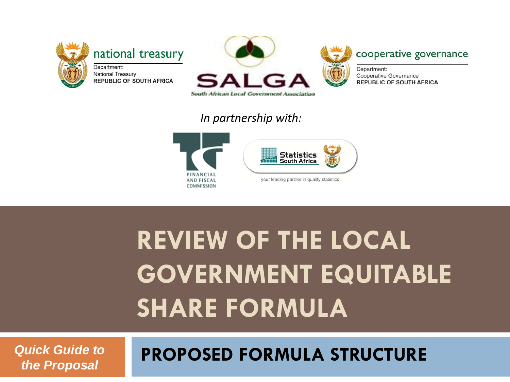



#### cooperative governance

Department: Cooperative Governance **REPUBLIC OF SOUTH AFRICA** 

#### *In partnership with:*





# **REVIEW OF THE LOCAL GOVERNMENT EQUITABLE SHARE FORMULA**

*Quick Guide to the Proposal*

#### **PROPOSED FORMULA STRUCTURE**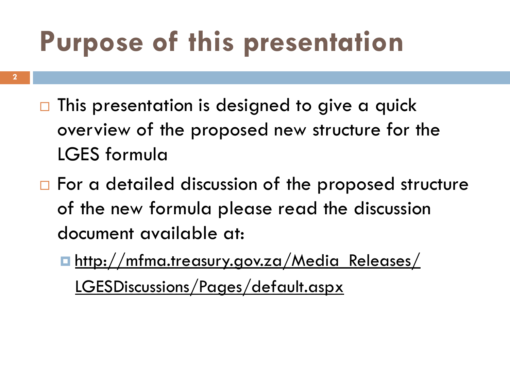# **Purpose of this presentation**

- $\Box$  This presentation is designed to give a quick overview of the proposed new structure for the LGES formula
- $\Box$  For a detailed discussion of the proposed structure of the new formula please read the discussion document available at:
	- **http://mfma.treasury.gov.za/Media Releases/** LGESDiscussions/Pages/default.aspx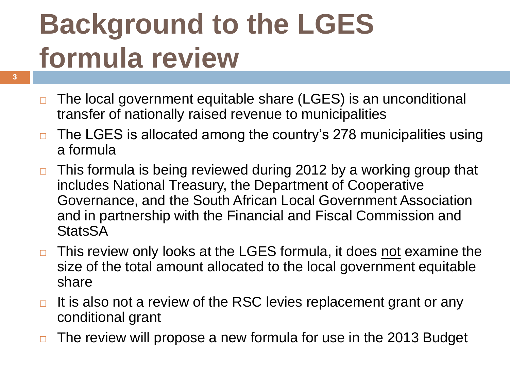# **Background to the LGES formula review**

- □ The local government equitable share (LGES) is an unconditional transfer of nationally raised revenue to municipalities
- $\Box$  The LGES is allocated among the country's 278 municipalities using a formula
- $\Box$  This formula is being reviewed during 2012 by a working group that includes National Treasury, the Department of Cooperative Governance, and the South African Local Government Association and in partnership with the Financial and Fiscal Commission and **StatsSA**
- □ This review only looks at the LGES formula, it does not examine the size of the total amount allocated to the local government equitable share
- $\Box$  It is also not a review of the RSC levies replacement grant or any conditional grant
- $\Box$  The review will propose a new formula for use in the 2013 Budget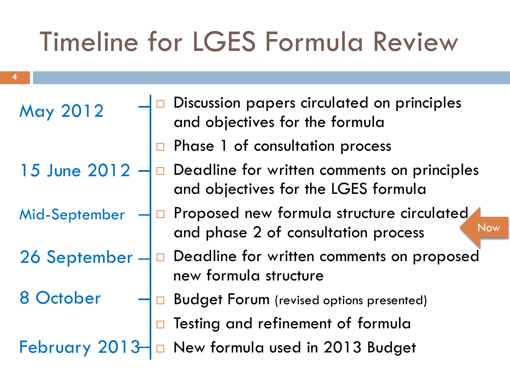#### Timeline for LGES Formula Review

| May 2012      |        | Discussion papers circulated on principles<br>and objectives for the formula            |
|---------------|--------|-----------------------------------------------------------------------------------------|
|               |        | Phase 1 of consultation process                                                         |
| 15 June 2012  |        | Deadline for written comments on principles<br>and objectives for the LGES formula      |
| Mid-September |        | Proposed new formula structure circulated<br>Now<br>and phase 2 of consultation process |
| 26 September  |        | Deadline for written comments on proposed<br>new formula structure                      |
| 8 October     |        | <b>Budget Forum</b> (revised options presented)                                         |
|               | $\Box$ | Testing and refinement of formula                                                       |
| February 2013 |        | New formula used in 2013 Budget                                                         |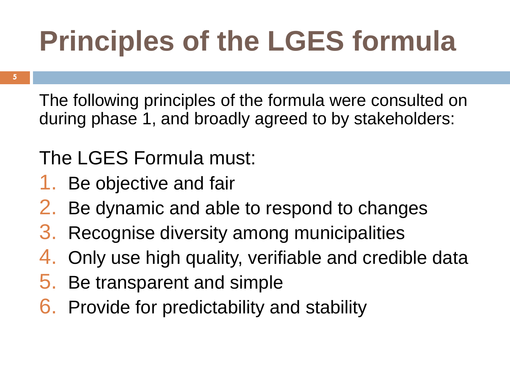# **Principles of the LGES formula**

**5**

The following principles of the formula were consulted on during phase 1, and broadly agreed to by stakeholders:

#### The LGES Formula must:

- 1. Be objective and fair
- 2. Be dynamic and able to respond to changes
- 3. Recognise diversity among municipalities
- 4. Only use high quality, verifiable and credible data
- 5. Be transparent and simple
- 6. Provide for predictability and stability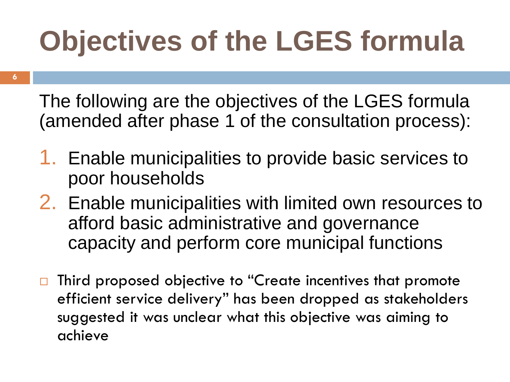# **Objectives of the LGES formula**

**6**

The following are the objectives of the LGES formula (amended after phase 1 of the consultation process):

- 1. Enable municipalities to provide basic services to poor households
- 2. Enable municipalities with limited own resources to afford basic administrative and governance capacity and perform core municipal functions
- $\Box$  Third proposed objective to "Create incentives that promote efficient service delivery" has been dropped as stakeholders suggested it was unclear what this objective was aiming to achieve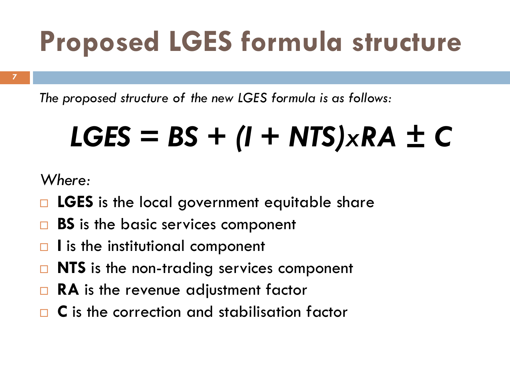# **Proposed LGES formula structure**

**7**

*The proposed structure of the new LGES formula is as follows:*

# *LGES = BS + (I + NTS)xRA ± C*

*Where:*

- □ LGES is the local government equitable share
- **BS** is the basic services component
- □ I is the institutional component
- **NTS** is the non-trading services component
- **RA** is the revenue adjustment factor
- **C** is the correction and stabilisation factor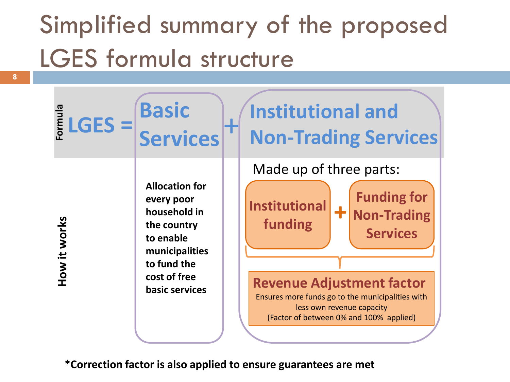#### Simplified summary of the proposed LGES formula structure

| -ormula      | <b>Basic</b>                                                                                                                                       | <b>Institutional and</b>                                                                                                                                                                                                                                                                  |
|--------------|----------------------------------------------------------------------------------------------------------------------------------------------------|-------------------------------------------------------------------------------------------------------------------------------------------------------------------------------------------------------------------------------------------------------------------------------------------|
| $LGES =$     | <b>Services</b>                                                                                                                                    | <b>Non-Trading Services</b>                                                                                                                                                                                                                                                               |
| How it works | <b>Allocation for</b><br>every poor<br>household in<br>the country<br>to enable<br>municipalities<br>to fund the<br>cost of free<br>basic services | Made up of three parts:<br><b>Funding for</b><br><b>Institutional</b><br><b>Non-Trading</b><br>funding<br><b>Services</b><br><b>Revenue Adjustment factor</b><br>Ensures more funds go to the municipalities with<br>less own revenue capacity<br>(Factor of between 0% and 100% applied) |

**\*Correction factor is also applied to ensure guarantees are met**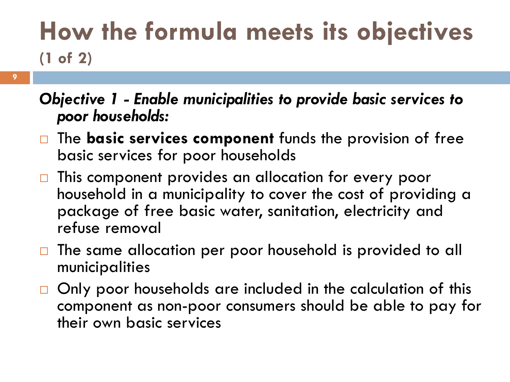#### **How the formula meets its objectives (1 of 2)**

- *Objective 1 - Enable municipalities to provide basic services to poor households:*
- □ The **basic services component** funds the provision of free basic services for poor households
- □ This component provides an allocation for every poor household in a municipality to cover the cost of providing a package of free basic water, sanitation, electricity and refuse removal
- □ The same allocation per poor household is provided to all municipalities
- $\Box$  Only poor households are included in the calculation of this component as non-poor consumers should be able to pay for their own basic services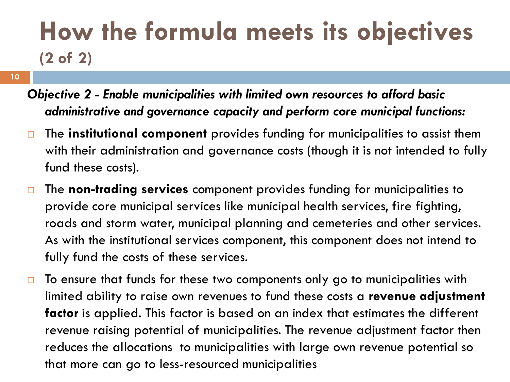#### **How the formula meets its objectives (2 of 2)**

- **10**
- *Objective 2 - Enable municipalities with limited own resources to afford basic administrative and governance capacity and perform core municipal functions:*
- The **institutional component** provides funding for municipalities to assist them with their administration and governance costs (though it is not intended to fully fund these costs).
- The **non-trading services** component provides funding for municipalities to provide core municipal services like municipal health services, fire fighting, roads and storm water, municipal planning and cemeteries and other services. As with the institutional services component, this component does not intend to fully fund the costs of these services.
- $\Box$  To ensure that funds for these two components only go to municipalities with limited ability to raise own revenues to fund these costs a **revenue adjustment factor** is applied. This factor is based on an index that estimates the different revenue raising potential of municipalities. The revenue adjustment factor then reduces the allocations to municipalities with large own revenue potential so that more can go to less-resourced municipalities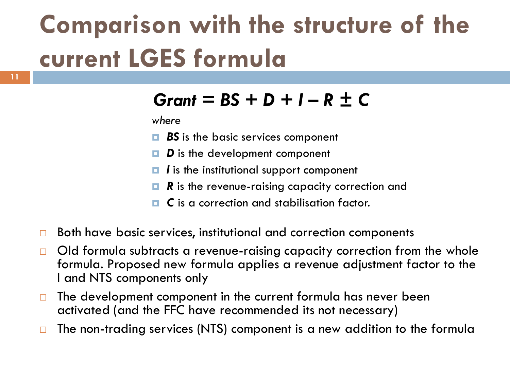#### **Comparison with the structure of the current LGES formula**

#### *Grant = BS + D + I – R ± C*

*where*

- **BS** is the basic services component
- *D* is the development component
- **□** *I* is the institutional support component
- *R* is the revenue-raising capacity correction and
- **□ C** is a correction and stabilisation factor.
- $\Box$  Both have basic services, institutional and correction components
- $\Box$  Old formula subtracts a revenue-raising capacity correction from the whole formula. Proposed new formula applies a revenue adjustment factor to the I and NTS components only
- $\Box$  The development component in the current formula has never been activated (and the FFC have recommended its not necessary)
- $\Box$  The non-trading services (NTS) component is a new addition to the formula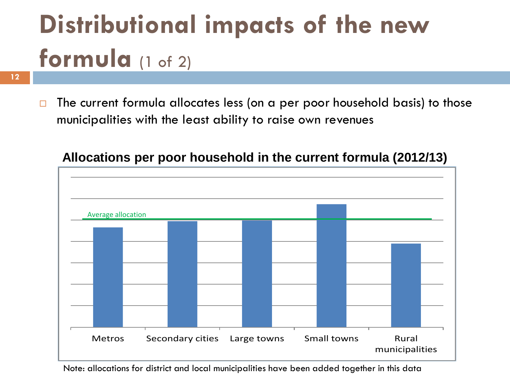# **Distributional impacts of the new formula** (1 of 2)

 $\Box$  The current formula allocates less (on a per poor household basis) to those municipalities with the least ability to raise own revenues



#### **Allocations per poor household in the current formula (2012/13)**

Note: allocations for district and local municipalities have been added together in this data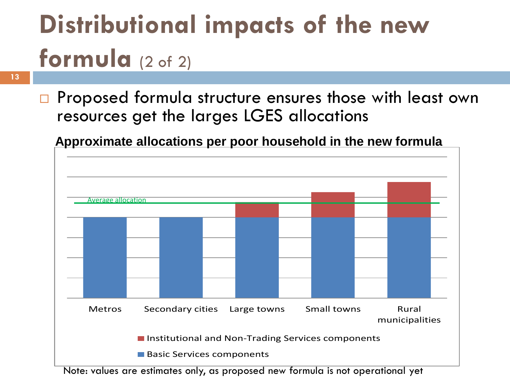# **Distributional impacts of the new formula** (2 of 2)

**13**

□ Proposed formula structure ensures those with least own resources get the larges LGES allocations

**Approximate allocations per poor household in the new formula**



Note: values are estimates only, as proposed new formula is not operational yet